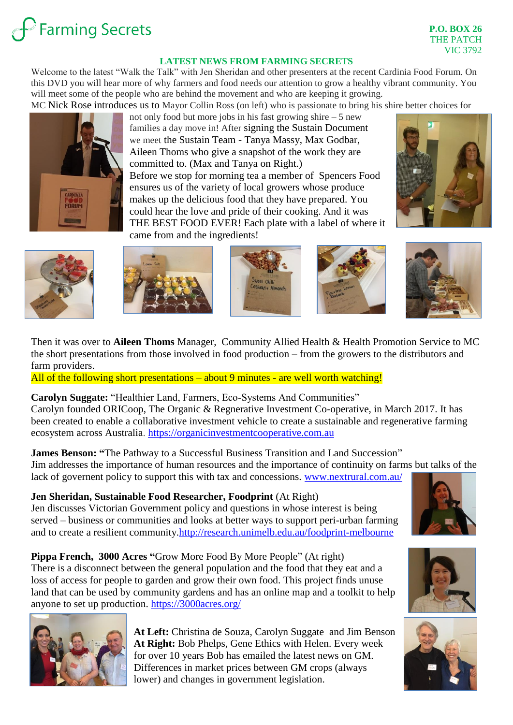# **Farming Secrets**

#### **LATEST NEWS FROM FARMING SECRETS**

Welcome to the latest "Walk the Talk" with Jen Sheridan and other presenters at the recent Cardinia Food Forum. On this DVD you will hear more of why farmers and food needs our attention to grow a healthy vibrant community. You will meet some of the people who are behind the movement and who are keeping it growing.

MC Nick Rose introduces us to Mayor Collin Ross (on left) who is passionate to bring his shire better choices for



not only food but more jobs in his fast growing shire  $-5$  new families a day move in! After signing the Sustain Document we meet the Sustain Team - Tanya Massy, Max Godbar, Aileen Thoms who give a snapshot of the work they are committed to. (Max and Tanya on Right.) Before we stop for morning tea a member of Spencers Food ensures us of the variety of local growers whose produce makes up the delicious food that they have prepared. You could hear the love and pride of their cooking. And it was THE BEST FOOD EVER! Each plate with a label of where it came from and the ingredients!





Then it was over to **Aileen Thoms** Manager, Community Allied Health & Health Promotion Service to MC the short presentations from those involved in food production – from the growers to the distributors and farm providers.

All of the following short presentations – about 9 minutes - are well worth watching!

**Carolyn Suggate:** "Healthier Land, Farmers, Eco-Systems And Communities" Carolyn founded ORICoop, The Organic & Regnerative Investment Co-operative, in March 2017. It has been created to enable a collaborative investment vehicle to create a sustainable and regenerative farming ecosystem across Australia. [https://organicinvestmentcooperative.com.au](https://organicinvestmentcooperative.com.au/)

**James Benson: "**The Pathway to a Successful Business Transition and Land Succession" Jim addresses the importance of human resources and the importance of continuity on farms but talks of the lack of governent policy to support this with tax and concessions. [www.nextrural.com.au/](file:///D:/Farming%20Secrets%20Network/FS%20-%20Talk%20the%20Walk/Letters%20to%20members%20pre%20and%20post%20-%20Talk%20the%20Walk/www.nextrural.com.au/)

**Jen Sheridan, Sustainable Food Researcher, Foodprint** (At Right) Jen discusses Victorian Government policy and questions in whose interest is being served – business or communities and looks at better ways to support peri-urban farming and to create a resilient community[.http://research.unimelb.edu.au/foodprint-melbourne](http://research.unimelb.edu.au/foodprint-melbourne)

**Pippa French, 3000 Acres "**Grow More Food By More People" (At right) There is a disconnect between the general population and the food that they eat and a loss of access for people to garden and grow their own food. This project finds unuse land that can be used by community gardens and has an online map and a toolkit to help anyone to set up production.<https://3000acres.org/>



**At Left:** Christina de Souza, Carolyn Suggate and Jim Benson **At Right:** Bob Phelps, Gene Ethics with Helen. Every week for over 10 years Bob has emailed the latest news on GM. Differences in market prices between GM crops (always lower) and changes in government legislation.